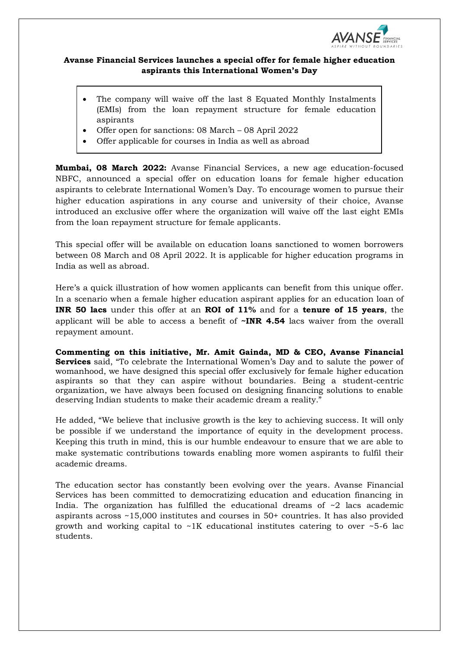

## **Avanse Financial Services launches a special offer for female higher education aspirants this International Women's Day**

- The company will waive off the last 8 Equated Monthly Instalments (EMIs) from the loan repayment structure for female education aspirants
- Offer open for sanctions: 08 March 08 April 2022
- Offer applicable for courses in India as well as abroad

**Mumbai, 08 March 2022:** Avanse Financial Services, a new age education-focused NBFC, announced a special offer on education loans for female higher education aspirants to celebrate International Women's Day. To encourage women to pursue their higher education aspirations in any course and university of their choice, Avanse introduced an exclusive offer where the organization will waive off the last eight EMIs from the loan repayment structure for female applicants.

This special offer will be available on education loans sanctioned to women borrowers between 08 March and 08 April 2022. It is applicable for higher education programs in India as well as abroad.

Here's a quick illustration of how women applicants can benefit from this unique offer. In a scenario when a female higher education aspirant applies for an education loan of **INR 50 lacs** under this offer at an **ROI of 11%** and for a **tenure of 15 years**, the applicant will be able to access a benefit of **~INR 4.54** lacs waiver from the overall repayment amount.

**Commenting on this initiative, Mr. Amit Gainda, MD & CEO, Avanse Financial Services** said, "To celebrate the International Women's Day and to salute the power of womanhood, we have designed this special offer exclusively for female higher education aspirants so that they can aspire without boundaries. Being a student-centric organization, we have always been focused on designing financing solutions to enable deserving Indian students to make their academic dream a reality."

He added, "We believe that inclusive growth is the key to achieving success. It will only be possible if we understand the importance of equity in the development process. Keeping this truth in mind, this is our humble endeavour to ensure that we are able to make systematic contributions towards enabling more women aspirants to fulfil their academic dreams.

The education sector has constantly been evolving over the years. Avanse Financial Services has been committed to democratizing education and education financing in India. The organization has fulfilled the educational dreams of  $\sim$ 2 lacs academic aspirants across ~15,000 institutes and courses in 50+ countries. It has also provided growth and working capital to  $\sim$ 1K educational institutes catering to over  $\sim$ 5-6 lac students.